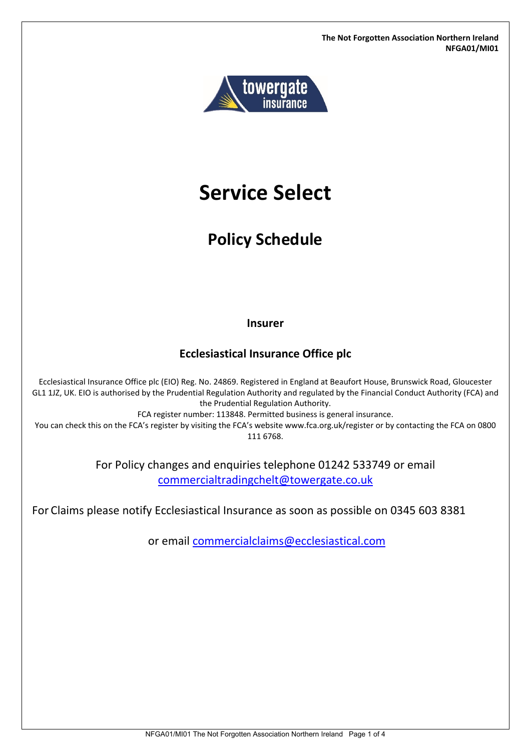**The Not Forgotten Association Northern Ireland NFGA01/MI01**



# **Service Select**

## **Policy Schedule**

**Insurer**

## **Ecclesiastical Insurance Office plc**

Ecclesiastical Insurance Office plc (EIO) Reg. No. 24869. Registered in England at Beaufort House, Brunswick Road, Gloucester GL1 1JZ, UK. EIO is authorised by the Prudential Regulation Authority and regulated by the Financial Conduct Authority (FCA) and the Prudential Regulation Authority.

FCA register number: 113848. Permitted business is general insurance.

You can check this on the FCA's register by visiting the FCA's website www.fca.org.uk/register or by contacting the FCA on 0800 111 6768.

> For Policy changes and enquiries telephone 01242 533749 or email [commercialtradingchelt@towergate.co.uk](mailto:commercialtradingchelt@towergate.co.uk)

For Claims please notify Ecclesiastical Insurance as soon as possible on 0345 603 8381

or email [commercialclaims@ecclesiastical.com](mailto:commercialclaims@ecclesiastical.com)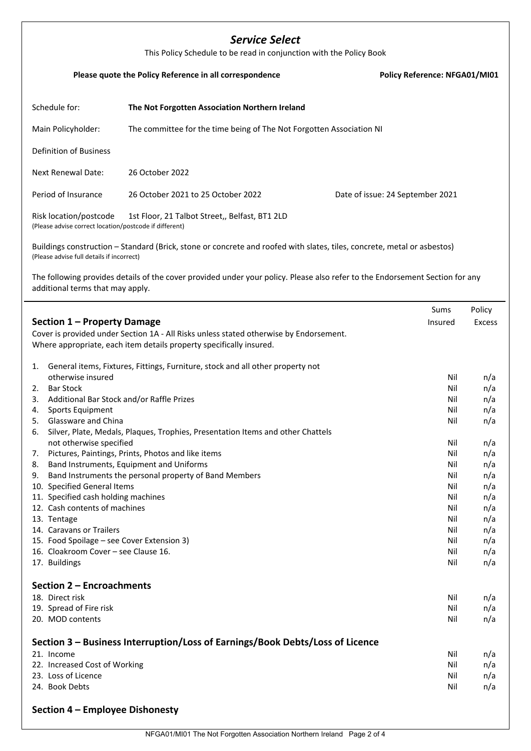## *Service Select*

| This Policy Schedule to be read in conjunction with the Policy Book                                                                                                                                                                                                                                                                                                                                                                                                            |                                                                                                                                                                                                                                                                                                                               |                                                                                                                     |                                                                                                                     |  |  |
|--------------------------------------------------------------------------------------------------------------------------------------------------------------------------------------------------------------------------------------------------------------------------------------------------------------------------------------------------------------------------------------------------------------------------------------------------------------------------------|-------------------------------------------------------------------------------------------------------------------------------------------------------------------------------------------------------------------------------------------------------------------------------------------------------------------------------|---------------------------------------------------------------------------------------------------------------------|---------------------------------------------------------------------------------------------------------------------|--|--|
|                                                                                                                                                                                                                                                                                                                                                                                                                                                                                | Please quote the Policy Reference in all correspondence                                                                                                                                                                                                                                                                       | Policy Reference: NFGA01/MI01                                                                                       |                                                                                                                     |  |  |
| Schedule for:                                                                                                                                                                                                                                                                                                                                                                                                                                                                  | The Not Forgotten Association Northern Ireland                                                                                                                                                                                                                                                                                |                                                                                                                     |                                                                                                                     |  |  |
| Main Policyholder:                                                                                                                                                                                                                                                                                                                                                                                                                                                             | The committee for the time being of The Not Forgotten Association NI                                                                                                                                                                                                                                                          |                                                                                                                     |                                                                                                                     |  |  |
| <b>Definition of Business</b>                                                                                                                                                                                                                                                                                                                                                                                                                                                  |                                                                                                                                                                                                                                                                                                                               |                                                                                                                     |                                                                                                                     |  |  |
| <b>Next Renewal Date:</b>                                                                                                                                                                                                                                                                                                                                                                                                                                                      | 26 October 2022                                                                                                                                                                                                                                                                                                               |                                                                                                                     |                                                                                                                     |  |  |
| Period of Insurance                                                                                                                                                                                                                                                                                                                                                                                                                                                            | 26 October 2021 to 25 October 2022                                                                                                                                                                                                                                                                                            | Date of issue: 24 September 2021                                                                                    |                                                                                                                     |  |  |
| Risk location/postcode<br>(Please advise correct location/postcode if different)                                                                                                                                                                                                                                                                                                                                                                                               | 1st Floor, 21 Talbot Street,, Belfast, BT1 2LD                                                                                                                                                                                                                                                                                |                                                                                                                     |                                                                                                                     |  |  |
| (Please advise full details if incorrect)<br>additional terms that may apply.                                                                                                                                                                                                                                                                                                                                                                                                  | Buildings construction - Standard (Brick, stone or concrete and roofed with slates, tiles, concrete, metal or asbestos)<br>The following provides details of the cover provided under your policy. Please also refer to the Endorsement Section for any                                                                       |                                                                                                                     |                                                                                                                     |  |  |
| Section 1 – Property Damage                                                                                                                                                                                                                                                                                                                                                                                                                                                    | Cover is provided under Section 1A - All Risks unless stated otherwise by Endorsement.<br>Where appropriate, each item details property specifically insured.                                                                                                                                                                 | Sums<br>Insured                                                                                                     | Policy<br><b>Excess</b>                                                                                             |  |  |
| 1.<br>otherwise insured<br><b>Bar Stock</b><br>2.<br>Additional Bar Stock and/or Raffle Prizes<br>3.<br>Sports Equipment<br>4.<br><b>Glassware and China</b><br>5.<br>6.<br>not otherwise specified<br>7.<br>8.<br>9.<br>10. Specified General Items<br>11. Specified cash holding machines<br>12. Cash contents of machines<br>13. Tentage<br>14. Caravans or Trailers<br>15. Food Spoilage - see Cover Extension 3)<br>16. Cloakroom Cover - see Clause 16.<br>17. Buildings | General items, Fixtures, Fittings, Furniture, stock and all other property not<br>Silver, Plate, Medals, Plaques, Trophies, Presentation Items and other Chattels<br>Pictures, Paintings, Prints, Photos and like items<br>Band Instruments, Equipment and Uniforms<br>Band Instruments the personal property of Band Members | Nil<br>Nil<br>Nil<br>Nil<br>Nil<br>Nil<br>Nil<br>Nil<br>Nil<br>Nil<br>Nil<br>Nil<br>Nil<br>Nil<br>Nil<br>Nil<br>Nil | n/a<br>n/a<br>n/a<br>n/a<br>n/a<br>n/a<br>n/a<br>n/a<br>n/a<br>n/a<br>n/a<br>n/a<br>n/a<br>n/a<br>n/a<br>n/a<br>n/a |  |  |
| Section 2 - Encroachments<br>18. Direct risk<br>19. Spread of Fire risk<br>20. MOD contents                                                                                                                                                                                                                                                                                                                                                                                    |                                                                                                                                                                                                                                                                                                                               | Nil<br>Nil<br>Nil                                                                                                   | n/a<br>n/a<br>n/a                                                                                                   |  |  |

**Section 3 – Business Interruption/Loss of Earnings/Book Debts/Loss of Licence** 21. Income Nil n/a 22. Increased Cost of Working Nil n/a 23. Loss of Licence Nil n/a 24. Book Debts Nil n/a

**Section 4 – Employee Dishonesty**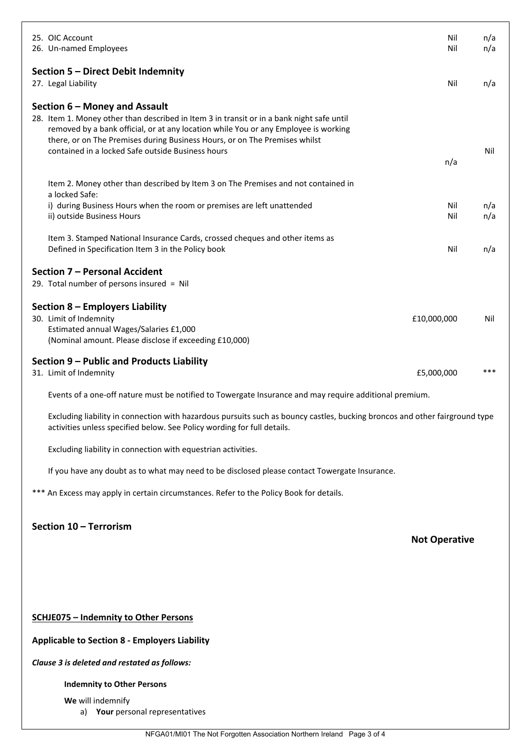|                        | 25. OIC Account<br>26. Un-named Employees                                                                                                                                                                                                                                                                                                            | Nil<br>Nil           | n/a<br>n/a |  |  |
|------------------------|------------------------------------------------------------------------------------------------------------------------------------------------------------------------------------------------------------------------------------------------------------------------------------------------------------------------------------------------------|----------------------|------------|--|--|
|                        | Section 5 - Direct Debit Indemnity<br>27. Legal Liability                                                                                                                                                                                                                                                                                            | Nil                  | n/a        |  |  |
|                        | Section 6 – Money and Assault<br>28. Item 1. Money other than described in Item 3 in transit or in a bank night safe until<br>removed by a bank official, or at any location while You or any Employee is working<br>there, or on The Premises during Business Hours, or on The Premises whilst<br>contained in a locked Safe outside Business hours | n/a                  | Nil        |  |  |
|                        | Item 2. Money other than described by Item 3 on The Premises and not contained in<br>a locked Safe:<br>i) during Business Hours when the room or premises are left unattended<br>ii) outside Business Hours                                                                                                                                          | Nil<br>Nil           | n/a<br>n/a |  |  |
|                        | Item 3. Stamped National Insurance Cards, crossed cheques and other items as<br>Defined in Specification Item 3 in the Policy book                                                                                                                                                                                                                   | Nil                  | n/a        |  |  |
|                        | Section 7 - Personal Accident<br>29. Total number of persons insured = Nil                                                                                                                                                                                                                                                                           |                      |            |  |  |
|                        | Section 8 - Employers Liability<br>30. Limit of Indemnity<br>Estimated annual Wages/Salaries £1,000<br>(Nominal amount. Please disclose if exceeding £10,000)                                                                                                                                                                                        | £10,000,000          | Nil        |  |  |
|                        | Section 9 – Public and Products Liability<br>31. Limit of Indemnity                                                                                                                                                                                                                                                                                  | £5,000,000           | ***        |  |  |
|                        | Events of a one-off nature must be notified to Towergate Insurance and may require additional premium.                                                                                                                                                                                                                                               |                      |            |  |  |
|                        | Excluding liability in connection with hazardous pursuits such as bouncy castles, bucking broncos and other fairground type<br>activities unless specified below. See Policy wording for full details.                                                                                                                                               |                      |            |  |  |
|                        | Excluding liability in connection with equestrian activities.                                                                                                                                                                                                                                                                                        |                      |            |  |  |
|                        | If you have any doubt as to what may need to be disclosed please contact Towergate Insurance.                                                                                                                                                                                                                                                        |                      |            |  |  |
|                        | *** An Excess may apply in certain circumstances. Refer to the Policy Book for details.                                                                                                                                                                                                                                                              |                      |            |  |  |
| Section 10 - Terrorism |                                                                                                                                                                                                                                                                                                                                                      | <b>Not Operative</b> |            |  |  |
|                        |                                                                                                                                                                                                                                                                                                                                                      |                      |            |  |  |
|                        | <b>SCHJE075 - Indemnity to Other Persons</b>                                                                                                                                                                                                                                                                                                         |                      |            |  |  |
|                        | <b>Applicable to Section 8 - Employers Liability</b>                                                                                                                                                                                                                                                                                                 |                      |            |  |  |

*Clause 3 is deleted and restated as follows:*

#### **Indemnity to Other Persons**

**We** will indemnify

a) **Your** personal representatives